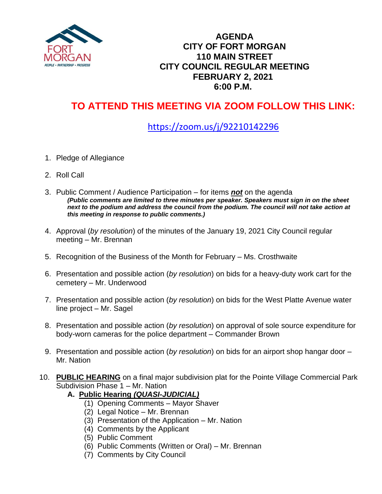

#### **AGENDA CITY OF FORT MORGAN 110 MAIN STREET CITY COUNCIL REGULAR MEETING FEBRUARY 2, 2021 6:00 P.M.**

# **TO ATTEND THIS MEETING VIA ZOOM FOLLOW THIS LINK:**

## <https://zoom.us/j/92210142296>

- 1. Pledge of Allegiance
- 2. Roll Call
- 3. Public Comment / Audience Participation for items *not* on the agenda *(Public comments are limited to three minutes per speaker. Speakers must sign in on the sheet next to the podium and address the council from the podium. The council will not take action at this meeting in response to public comments.)*
- 4. Approval (*by resolution*) of the minutes of the January 19, 2021 City Council regular meeting – Mr. Brennan
- 5. Recognition of the Business of the Month for February Ms. Crosthwaite
- 6. Presentation and possible action (*by resolution*) on bids for a heavy-duty work cart for the cemetery – Mr. Underwood
- 7. Presentation and possible action (*by resolution*) on bids for the West Platte Avenue water line project – Mr. Sagel
- 8. Presentation and possible action (*by resolution*) on approval of sole source expenditure for body-worn cameras for the police department – Commander Brown
- 9. Presentation and possible action (*by resolution*) on bids for an airport shop hangar door Mr. Nation
- 10. **PUBLIC HEARING** on a final major subdivision plat for the Pointe Village Commercial Park Subdivision Phase 1 – Mr. Nation
	- **A.****Public Hearing** *(QUASI-JUDICIAL)*
		- (1) Opening Comments Mayor Shaver
		- (2) Legal Notice Mr. Brennan
		- (3) Presentation of the Application Mr. Nation
		- (4) Comments by the Applicant
		- (5) Public Comment
		- (6) Public Comments (Written or Oral) Mr. Brennan
		- (7) Comments by City Council